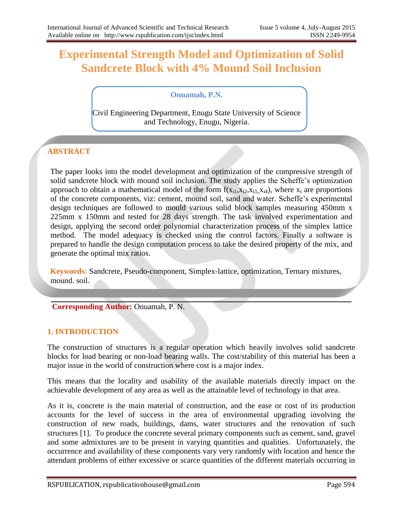# **Experimental Strength Model and Optimization of Solid Sandcrete Block with 4% Mound Soil Inclusion**

## **Onuamah, P.N.**

Civil Engineering Department, Enugu State University of Science and Technology, Enugu, Nigeria.

## **ABSTRACT**

The paper looks into the model development and optimization of the compressive strength of solid sandcrete block with mound soil inclusion. The study applies the Scheffe's optimization approach to obtain a mathematical model of the form  $f(x_{i1},x_{i2},x_{i3},x_{i4})$ , where  $x_i$  are proportions of the concrete components, viz: cement, mound soil, sand and water. Scheffe's experimental design techniques are followed to mould various solid block samples measuring 450mm x 225mm x 150mm and tested for 28 days strength. The task involved experimentation and design, applying the second order polynomial characterization process of the simplex lattice method. The model adequacy is checked using the control factors. Finally a software is prepared to handle the design computation process to take the desired property of the mix, and generate the optimal mix ratios.

**Keywords:** Sandcrete, Pseudo-component, Simplex-lattice, optimization, Ternary mixtures, mound. soil.

**Corresponding Author:** Onuamah, P. N.

## **1. INTRODUCTION**

The construction of structures is a regular operation which heavily involves solid sandcrete blocks for load bearing or non-load bearing walls. The cost/stability of this material has been a major issue in the world of construction where cost is a major index.

This means that the locality and usability of the available materials directly impact on the achievable development of any area as well as the attainable level of technology in that area.

As it is, concrete is the main material of construction, and the ease or cost of its production accounts for the level of success in the area of environmental upgrading involving the construction of new roads, buildings, dams, water structures and the renovation of such structures [1]. To produce the concrete several primary components such as cement, sand, gravel and some admixtures are to be present in varying quantities and qualities. Unfortunately, the occurrence and availability of these components vary very randomly with location and hence the attendant problems of either excessive or scarce quantities of the different materials occurring in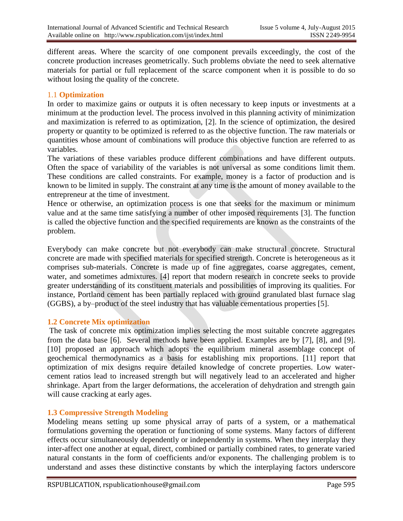different areas. Where the scarcity of one component prevails exceedingly, the cost of the concrete production increases geometrically. Such problems obviate the need to seek alternative materials for partial or full replacement of the scarce component when it is possible to do so without losing the quality of the concrete.

## 1.1 **Optimization**

In order to maximize gains or outputs it is often necessary to keep inputs or investments at a minimum at the production level. The process involved in this planning activity of minimization and maximization is referred to as optimization, [2]. In the science of optimization, the desired property or quantity to be optimized is referred to as the objective function. The raw materials or quantities whose amount of combinations will produce this objective function are referred to as variables.

The variations of these variables produce different combinations and have different outputs. Often the space of variability of the variables is not universal as some conditions limit them. These conditions are called constraints. For example, money is a factor of production and is known to be limited in supply. The constraint at any time is the amount of money available to the entrepreneur at the time of investment.

Hence or otherwise, an optimization process is one that seeks for the maximum or minimum value and at the same time satisfying a number of other imposed requirements [3]. The function is called the objective function and the specified requirements are known as the constraints of the problem.

Everybody can make concrete but not everybody can make structural concrete. Structural concrete are made with specified materials for specified strength. Concrete is heterogeneous as it comprises sub-materials. Concrete is made up of fine aggregates, coarse aggregates, cement, water, and sometimes admixtures. [4] report that modern research in concrete seeks to provide greater understanding of its constituent materials and possibilities of improving its qualities. For instance, Portland cement has been partially replaced with ground granulated blast furnace slag (GGBS), a by–product of the steel industry that has valuable cementatious properties [5].

#### **1.2 Concrete Mix optimization**

The task of concrete mix optimization implies selecting the most suitable concrete aggregates from the data base [6]. Several methods have been applied. Examples are by [7], [8], and [9]. [10] proposed an approach which adopts the equilibrium mineral assemblage concept of geochemical thermodynamics as a basis for establishing mix proportions. [11] report that optimization of mix designs require detailed knowledge of concrete properties. Low watercement ratios lead to increased strength but will negatively lead to an accelerated and higher shrinkage. Apart from the larger deformations, the acceleration of dehydration and strength gain will cause cracking at early ages.

## **1.3 Compressive Strength Modeling**

Modeling means setting up some physical array of parts of a system, or a mathematical formulations governing the operation or functioning of some systems. Many factors of different effects occur simultaneously dependently or independently in systems. When they interplay they inter-affect one another at equal, direct, combined or partially combined rates, to generate varied natural constants in the form of coefficients and/or exponents. The challenging problem is to understand and asses these distinctive constants by which the interplaying factors underscore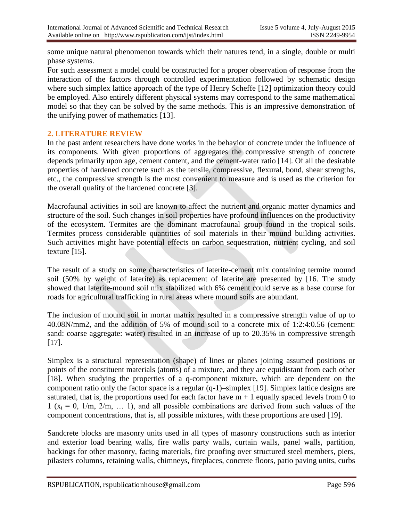some unique natural phenomenon towards which their natures tend, in a single, double or multi phase systems.

For such assessment a model could be constructed for a proper observation of response from the interaction of the factors through controlled experimentation followed by schematic design where such simplex lattice approach of the type of Henry Scheffe [12] optimization theory could be employed. Also entirely different physical systems may correspond to the same mathematical model so that they can be solved by the same methods. This is an impressive demonstration of the unifying power of mathematics [13].

## **2. LITERATURE REVIEW**

In the past ardent researchers have done works in the behavior of concrete under the influence of its components. With given proportions of aggregates the compressive strength of concrete depends primarily upon age, cement content, and the cement-water ratio [14]. Of all the desirable properties of hardened concrete such as the tensile, compressive, flexural, bond, shear strengths, etc., the compressive strength is the most convenient to measure and is used as the criterion for the overall quality of the hardened concrete [3].

Macrofaunal activities in soil are known to affect the nutrient and organic matter dynamics and structure of the soil. Such changes in soil properties have profound influences on the productivity of the ecosystem. Termites are the dominant macrofaunal group found in the tropical soils. Termites process considerable quantities of soil materials in their mound building activities. Such activities might have potential effects on carbon sequestration, nutrient cycling, and soil texture [15].

The result of a study on some characteristics of laterite-cement mix containing termite mound soil (50% by weight of laterite) as replacement of laterite are presented by [16. The study showed that laterite-mound soil mix stabilized with 6% cement could serve as a base course for roads for agricultural trafficking in rural areas where mound soils are abundant.

The inclusion of mound soil in mortar matrix resulted in a compressive strength value of up to 40.08N/mm2, and the addition of 5% of mound soil to a concrete mix of 1:2:4:0.56 (cement: sand: coarse aggregate: water) resulted in an increase of up to 20.35% in compressive strength [17].

Simplex is a structural representation (shape) of lines or planes joining assumed positions or points of the constituent materials (atoms) of a mixture, and they are equidistant from each other [18]. When studying the properties of a q-component mixture, which are dependent on the component ratio only the factor space is a regular (q-1)–simplex [19]. Simplex lattice designs are saturated, that is, the proportions used for each factor have  $m + 1$  equally spaced levels from 0 to 1 ( $x_i = 0$ , 1/m, 2/m, ... 1), and all possible combinations are derived from such values of the component concentrations, that is, all possible mixtures, with these proportions are used [19].

Sandcrete blocks are masonry units used in all types of masonry constructions such as interior and exterior load bearing walls, fire walls party walls, curtain walls, panel walls, partition, backings for other masonry, facing materials, fire proofing over structured steel members, piers, pilasters columns, retaining walls, chimneys, fireplaces, concrete floors, patio paving units, curbs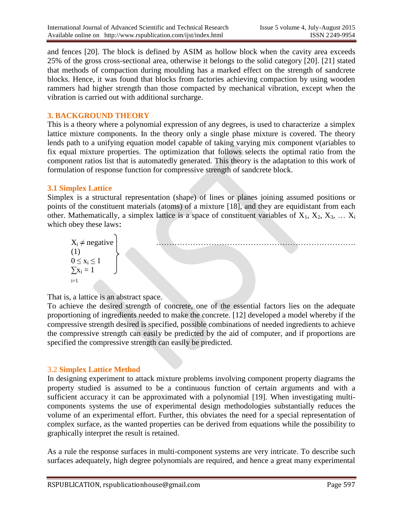and fences [20]. The block is defined by ASIM as hollow block when the cavity area exceeds 25% of the gross cross-sectional area, otherwise it belongs to the solid category [20]. [21] stated that methods of compaction during moulding has a marked effect on the strength of sandcrete blocks. Hence, it was found that blocks from factories achieving compaction by using wooden rammers had higher strength than those compacted by mechanical vibration, except when the vibration is carried out with additional surcharge.

## **3. BACKGROUND THEORY**

This is a theory where a polynomial expression of any degrees, is used to characterize a simplex lattice mixture components. In the theory only a single phase mixture is covered. The theory lends path to a unifying equation model capable of taking varying mix component v(ariables to fix equal mixture properties. The optimization that follows selects the optimal ratio from the component ratios list that is automatedly generated. This theory is the adaptation to this work of formulation of response function for compressive strength of sandcrete block.

## **3.1 Simplex Lattice**

Simplex is a structural representation (shape) of lines or planes joining assumed positions or points of the constituent materials (atoms) of a mixture [18], and they are equidistant from each other. Mathematically, a simplex lattice is a space of constituent variables of  $X_1, X_2, X_3, \ldots X_i$ which obey these laws:

$$
X_i \neq \text{negative}
$$
\n(1)\n
$$
0 \leq x_i \leq 1
$$
\n
$$
\sum_{i=1}^{n} x_i = 1
$$

That is, a lattice is an abstract space.

To achieve the desired strength of concrete, one of the essential factors lies on the adequate proportioning of ingredients needed to make the concrete. [12] developed a model whereby if the compressive strength desired is specified, possible combinations of needed ingredients to achieve the compressive strength can easily be predicted by the aid of computer, and if proportions are specified the compressive strength can easily be predicted.

## 3.2 **Simplex Lattice Method**

In designing experiment to attack mixture problems involving component property diagrams the property studied is assumed to be a continuous function of certain arguments and with a sufficient accuracy it can be approximated with a polynomial [19]. When investigating multicomponents systems the use of experimental design methodologies substantially reduces the volume of an experimental effort. Further, this obviates the need for a special representation of complex surface, as the wanted properties can be derived from equations while the possibility to graphically interpret the result is retained.

As a rule the response surfaces in multi-component systems are very intricate. To describe such surfaces adequately, high degree polynomials are required, and hence a great many experimental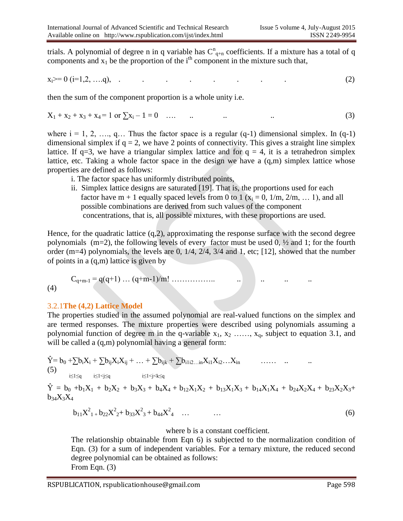trials. A polynomial of degree n in q variable has  $C_{q+n}^n$  coefficients. If a mixture has a total of q components and  $x_1$  be the proportion of the i<sup>th</sup> component in the mixture such that,

$$
x_i \ge 0 \quad (i=1,2,\ldots,q), \quad . \tag{2}
$$

then the sum of the component proportion is a whole unity i.e.

$$
X_1 + x_2 + x_3 + x_4 = 1 \text{ or } \sum x_i - 1 = 0 \quad \dots \quad \dots \quad \dots \tag{3}
$$

where  $i = 1, 2, \ldots, q \ldots$  Thus the factor space is a regular  $(q-1)$  dimensional simplex. In  $(q-1)$ dimensional simplex if  $q = 2$ , we have 2 points of connectivity. This gives a straight line simplex lattice. If  $q=3$ , we have a triangular simplex lattice and for  $q = 4$ , it is a tetrahedron simplex lattice, etc. Taking a whole factor space in the design we have a (q,m) simplex lattice whose properties are defined as follows:

- i. The factor space has uniformly distributed points,
- ii. Simplex lattice designs are saturated [19]. That is, the proportions used for each factor have m + 1 equally spaced levels from 0 to 1 ( $x_i = 0$ , 1/m, 2/m, ... 1), and all possible combinations are derived from such values of the component concentrations, that is, all possible mixtures, with these proportions are used.

Hence, for the quadratic lattice (q,2), approximating the response surface with the second degree polynomials (m=2), the following levels of every factor must be used 0, ½ and 1; for the fourth order (m=4) polynomials, the levels are 0, 1/4, 2/4, 3/4 and 1, etc; [12], showed that the number of points in a (q,m) lattice is given by

Cq+m-1 = q(q+1) … (q+m-1)/m! …………….. .. .. .. .. (4)

#### 3.2.1**The (4,2) Lattice Model**

The properties studied in the assumed polynomial are real-valued functions on the simplex and are termed responses. The mixture properties were described using polynomials assuming a polynomial function of degree m in the q-variable  $x_1, x_2, \ldots, x_q$ , subject to equation 3.1, and will be called a  $(q,m)$  polynomial having a general form:

$$
\hat{Y} = b_0 + \sum b_i X_i + \sum b_{ij} X_i X_{ij} + \ldots + \sum b_{ijk} + \sum b_{i1i2\ldots in} X_{i1} X_{i2} \ldots X_{in} \quad \ldots \ldots \quad \ldots \quad \ldots \quad \ldots
$$
\n(5)

 $\hat{Y} = b_0 + b_1X_1 + b_2X_2 + b_3X_3 + b_4X_4 + b_{12}X_1X_2 + b_{13}X_1X_3 + b_{14}X_1X_4 + b_{24}X_2X_4 + b_{23}X_2X_3 +$  $b_{34}X_3X_4$ 

$$
b_{11}X_{1}^{2} + b_{22}X_{2}^{2} + b_{33}X_{3}^{2} + b_{44}X_{4}^{2} + \dots \qquad \dots \qquad (6)
$$

#### where **b** is a constant coefficient.

The relationship obtainable from Eqn 6) is subjected to the normalization condition of Eqn. (3) for a sum of independent variables. For a ternary mixture, the reduced second degree polynomial can be obtained as follows: From Eqn. (3)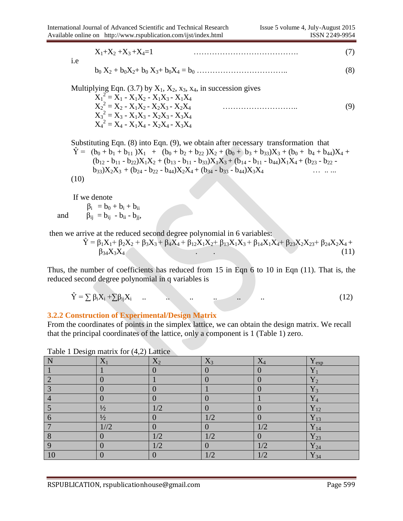$$
X_1 + X_2 + X_3 + X_4 = 1 \tag{7}
$$

i.e

$$
b_0 X_2 + b_0 X_2 + b_0 X_3 + b_0 X_4 = b_0 \dots \dots \dots \dots \dots \dots \dots \dots \dots \dots \dots \tag{8}
$$

| Multiplying Eqn. (3.7) by $X_1$ , $X_2$ , $x_3$ , $x_4$ , in succession gives |  |
|-------------------------------------------------------------------------------|--|
| $X_1^2 = X_1 - X_1X_2 - X_1X_3 - X_1X_4$                                      |  |
| $X_2^2 = X_2 - X_1X_2 - X_2X_3 - X_2X_4$                                      |  |
| $X_3^2 = X_3 - X_1X_3 - X_2X_3 - X_3X_4$                                      |  |
| $X_4^2 = X_4 - X_1X_4 - X_2X_4 - X_3X_4$                                      |  |

Substituting Eqn. (8) into Eqn. (9), we obtain after necessary transformation that  $\hat{Y}$  = (b<sub>0</sub> + b<sub>1</sub> + b<sub>11</sub>) $X_1$  + (b<sub>0</sub> + b<sub>2</sub> + b<sub>22</sub>) $X_2$  + (b<sub>0</sub> + b<sub>3</sub> + b<sub>33</sub>) $X_3$  + (b<sub>0</sub> + b<sub>4</sub> + b<sub>44</sub>) $X_4$  +  $(b_{12} - b_{11} - b_{22})X_1X_2 + (b_{13} - b_{11} - b_{33})X_1X_3 + (b_{14} - b_{11} - b_{44})X_1X_4 + (b_{23} - b_{22} - b_{11} - b_{44})X_1X_5$  $b_{33}X_2X_3 + (b_{24} - b_{22} - b_{44})X_2X_4 + (b_{34} - b_{33} - b_{44})X_3X_4$  … ... (10)

If we denote

 $\beta_i = b_0 + b_i + b_{ii}$ and  $\beta_{ij} = b_{ij} - b_{ii} - b_{jj}$ ,

then we arrive at the reduced second degree polynomial in 6 variables:

$$
\hat{Y} = \beta_1 X_1 + \beta_2 X_2 + \beta_3 X_3 + \beta_4 X_4 + \beta_{12} X_1 X_2 + \beta_{13} X_1 X_3 + \beta_{14} X_1 X_4 + \beta_{23} X_2 X_2 X_3 + \beta_{24} X_2 X_4 + \beta_{34} X_3 X_4
$$
\n(11)

Thus, the number of coefficients has reduced from 15 in Eqn 6 to 10 in Eqn (11). That is, the reduced second degree polynomial in q variables is

$$
\hat{Y} = \sum \beta_i X_i + \sum \beta_{ij} X_i \qquad (12)
$$

## **3.2.2 Construction of Experimental/Design Matrix**

From the coordinates of points in the simplex lattice, we can obtain the design matrix. We recall that the principal coordinates of the lattice, only a component is 1 (Table 1) zero.

| N       | $X_1$         | $X_2$ | $X_3$         | $\rm X_4$ | $Y_{exp}$           |
|---------|---------------|-------|---------------|-----------|---------------------|
|         |               |       |               |           | $Y_1$               |
|         |               |       |               |           | $Y_2$               |
| ⌒       |               |       |               |           | $Y_3$               |
|         |               |       |               |           | $Y_4$               |
|         | $\frac{1}{2}$ | 1/2   |               |           | $Y_{12}$            |
|         | $\frac{1}{2}$ |       | 1/2           |           | $Y_{13}$            |
|         | 1//2          |       |               | 1/2       | $\overline{Y}_{14}$ |
| $\circ$ |               | 1/2   | 1/2           |           | $Y_{23}$            |
|         |               | 1/2   |               | 1/2       | $Y_{24}$            |
| 10      |               |       | $\frac{1}{2}$ | 1/2       | $Y_{34}$            |

Table 1 Design matrix for (4,2) Lattice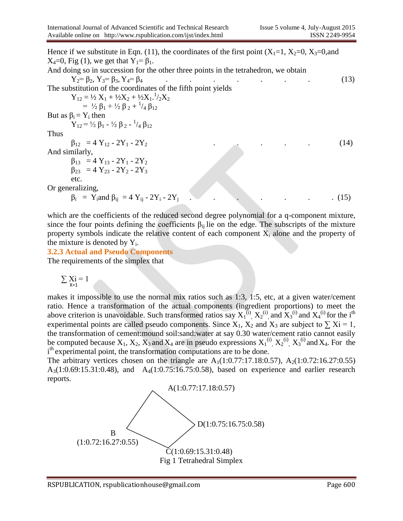Hence if we substitute in Eqn. (11), the coordinates of the first point  $(X_1=1, X_2=0, X_3=0,$  and  $X_4=0$ , Fig (1), we get that  $Y_1=\beta_1$ . And doing so in succession for the other three points in the tetrahedron, we obtain Y2= β2, Y3= β3, Y4= β4 . . . . . . . (13) The substitution of the coordinates of the fifth point yields  $Y_{12} = \frac{1}{2} X_1 + \frac{1}{2} X_2 + \frac{1}{2} X_1 \cdot \frac{1}{2} X_2$ =  $\frac{1}{2} \beta_1 + \frac{1}{2} \beta_2 + \frac{1}{4} \beta_{12}$ But as  $β_i = Y_i$  then  $Y_{12} = \frac{1}{2} β_1 - \frac{1}{2} β_2 - \frac{1}{4} β_{12}$ Thus  $\beta_{12} = 4 Y_{12} - 2Y_1 - 2Y_2$  (14) And similarly,  $β<sub>13</sub> = 4 Y<sub>13</sub> - 2Y<sub>1</sub> - 2Y<sub>2</sub>$  $\beta_{23}$  = 4 Y<sub>23</sub> - 2Y<sub>2</sub> - 2Y<sub>3</sub> etc. Or generalizing,  $β_i = Y_i$ and  $β_{ij} = 4 Y_{ij} - 2Y_i - 2Y_j$ . . . . . . . (15)

which are the coefficients of the reduced second degree polynomial for a q-component mixture, since the four points defining the coefficients  $\beta_{ii}$  lie on the edge. The subscripts of the mixture property symbols indicate the relative content of each component  $X_i$  alone and the property of the mixture is denoted by  $Y_i$ .

**3.2.3 Actual and Pseudo Components** The requirements of the simplex that

$$
\sum \underset{x=1}{Xi} = 1
$$

makes it impossible to use the normal mix ratios such as 1:3, 1:5, etc, at a given water/cement ratio. Hence a transformation of the actual components (ingredient proportions) to meet the above criterion is unavoidable. Such transformed ratios say  $X_1^{(i)}$ ,  $X_2^{(i)}$ , and  $X_3^{(i)}$  and  $X_4^{(i)}$  for the i<sup>th</sup> experimental points are called pseudo components. Since  $X_1$ ,  $X_2$  and  $X_3$  are subject to  $\sum X_i = 1$ , the transformation of cement:mound soil:sand:water at say 0.30 water/cement ratio cannot easily be computed because  $X_1, X_2, X_3$  and  $X_4$  are in pseudo expressions  $X_1^{(i)}$ ,  $X_2^{(i)}$ ,  $X_3^{(i)}$  and  $X_4$ . For the i<sup>th</sup> experimental point, the transformation computations are to be done.

The arbitrary vertices chosen on the triangle are  $A_1(1:0.77:17.18:0.57)$ ,  $A_2(1:0.72:16.27:0.55)$ A3(1:0.69:15.31:0.48), and A4(1:0.75:16.75:0.58), based on experience and earlier research reports.

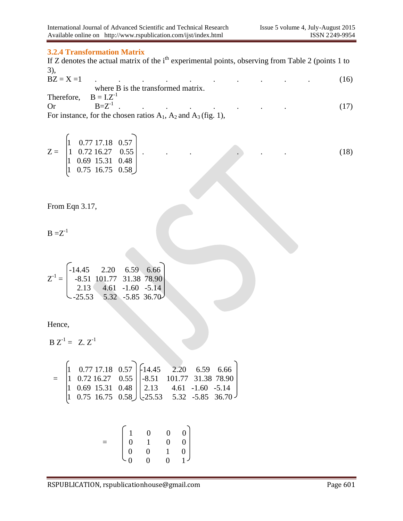#### **3.2.4 Transformation Matrix**

If Z denotes the actual matrix of the i<sup>th</sup> experimental points, observing from Table 2 (points 1 to 3),

| $BZ = X = 1$              |              |  |                                    |  |  |  |
|---------------------------|--------------|--|------------------------------------|--|--|--|
|                           |              |  | where B is the transformed matrix. |  |  |  |
| Therefore, $B = I.Z^{-1}$ |              |  |                                    |  |  |  |
| Or.                       | $B = Z^{-1}$ |  |                                    |  |  |  |
|                           |              |  |                                    |  |  |  |

For instance, for the chosen ratios  $A_1$ ,  $A_2$  and  $A_3$  (fig. 1),

 $|1 \quad 0.77 \; 17.18 \quad 0.57$ Z = 1 0.72 16.27 0.55 . . . . . . (18) 1 0.69 15.31 0.48  $|1 \t0.75 \t16.75 \t0.58$ 

From Eqn 3.17,

$$
B = Z^{-1}
$$

$$
Z^{-1} = \begin{bmatrix} -14.45 & 2.20 & 6.59 & 6.66 \\ -8.51 & 101.77 & 31.38 & 78.90 \\ 2.13 & 4.61 & -1.60 & -5.14 \\ -25.53 & 5.32 & -5.85 & 36.70 \end{bmatrix}
$$

Hence,

 $B Z^{-1} = Z Z^{-1}$ 

$$
= \begin{bmatrix} 1 & 0.77 & 17.18 & 0.57 \\ 1 & 0.72 & 16.27 & 0.55 \\ 1 & 0.69 & 15.31 & 0.48 \\ 1 & 0.75 & 16.75 & 0.58 \end{bmatrix} \begin{bmatrix} 14.45 & 2.20 & 6.59 & 6.66 \\ -8.51 & 101.77 & 31.38 & 78.90 \\ 2.13 & 4.61 & -1.60 & -5.14 \\ -25.53 & 5.32 & -5.85 & 36.70 \end{bmatrix}
$$

|  | $\begin{bmatrix} 1 & 0 & 0 & 0 \\ 0 & 1 & 0 & 0 \\ 0 & 0 & 1 & 0 \\ 0 & 0 & 0 & 1 \end{bmatrix}$ |  |  |
|--|--------------------------------------------------------------------------------------------------|--|--|
|  |                                                                                                  |  |  |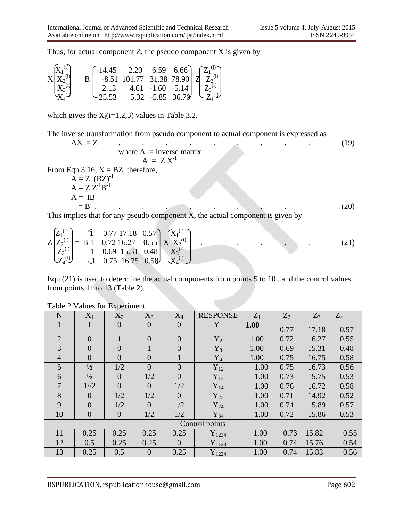Thus, for actual component  $Z$ , the pseudo component  $X$  is given by

$$
X\begin{bmatrix} X_1^{(i)} \\ X_2^{(i)} \\ X_3^{(i)} \\ X_4^{(i)} \end{bmatrix} = B \begin{bmatrix} -14.45 & 2.20 & 6.59 & 6.66 \\ -8.51 & 101.77 & 31.38 & 78.90 \\ 2.13 & 4.61 & -1.60 & -5.14 \\ 25.53 & 5.32 & -5.85 & 36.70 \end{bmatrix} Z \begin{bmatrix} Z_1^{(i)} \\ Z_2^{(i)} \\ Z_3^{(i)} \\ Z_4^{(i)} \end{bmatrix}
$$

which gives the  $X_i(i=1,2,3)$  values in Table 3.2.

The inverse transformation from pseudo component to actual component is expressed as

$$
AX = Z
$$
  
\nwhere A = inverse matrix  
\n
$$
A = Z X^{-1}.
$$
  
\nFrom Eqn 3.16, X = BZ, therefore,  
\n
$$
A = Z.(BZ)^{-1}
$$
  
\n
$$
A = Z.Z^{-1}B^{-1}
$$
  
\n
$$
A = IB^{-1}
$$
  
\n= B<sup>-1</sup>. (20)  
\nThis implies that for any pseudo component X, the actual component is given by

$$
Z\begin{bmatrix}Z_1^{(i)}\\Z_2^{(i)}\\Z_3^{(i)}\\Z_4^{(i)}\end{bmatrix} = B\begin{bmatrix}1 & 0.77 & 17.18 & 0.57\\1 & 0.72 & 16.27 & 0.55\\1 & 0.69 & 15.31 & 0.48\\1 & 0.75 & 16.75 & 0.58\end{bmatrix} X\begin{bmatrix}X_1^{(i)}\\X_2^{(i)}\\X_3^{(i)}\\X_4^{(i)}\end{bmatrix} .
$$
 (21)

Eqn (21) is used to determine the actual components from points 5 to 10 , and the control values from points 11 to 13 (Table 2).

| N              | $X_1$            | $X_2$          | $X_3$          | $X_4$          | <b>RESPONSE</b>  | $Z_1$ | $Z_2$ | Z <sub>3</sub> | $Z_4$ |
|----------------|------------------|----------------|----------------|----------------|------------------|-------|-------|----------------|-------|
| $\mathbf{1}$   |                  | $\overline{0}$ | $\overline{0}$ | $\overline{0}$ | $Y_1$            | 1.00  | 0.77  | 17.18          | 0.57  |
| $\overline{2}$ | $\overline{0}$   |                | $\overline{0}$ | $\overline{0}$ | $Y_2$            | 1.00  | 0.72  | 16.27          | 0.55  |
| 3              | $\overline{0}$   | $\overline{0}$ | 1              | $\overline{0}$ | $Y_3$            | 1.00  | 0.69  | 15.31          | 0.48  |
| $\overline{4}$ | $\overline{0}$   | $\overline{0}$ | $\overline{0}$ |                | $Y_4$            | 1.00  | 0.75  | 16.75          | 0.58  |
| 5              | $\frac{1}{2}$    | 1/2            | $\overline{0}$ | $\overline{0}$ | $Y_{12}$         | 1.00  | 0.75  | 16.73          | 0.56  |
| 6              | $\frac{1}{2}$    | $\overline{0}$ | 1/2            | $\theta$       | $Y_{13}$         | 1.00  | 0.73  | 15.75          | 0.53  |
| $\overline{7}$ | 1/2              | $\overline{0}$ | $\overline{0}$ | 1/2            | $Y_{14}$         | 1.00  | 0.76  | 16.72          | 0.58  |
| 8              | $\theta$         | 1/2            | 1/2            | $\overline{0}$ | $Y_{23}$         | 1.00  | 0.71  | 14.92          | 0.52  |
| 9              | $\overline{0}$   | 1/2            | $\overline{0}$ | 1/2            | $Y_{24}$         | 1.00  | 0.74  | 15.89          | 0.57  |
| 10             | $\boldsymbol{0}$ | $\overline{0}$ | 1/2            | 1/2            | $Y_{34}$         | 1.00  | 0.72  | 15.86          | 0.53  |
|                |                  |                |                |                | Control points   |       |       |                |       |
| 11             | 0.25             | 0.25           | 0.25           | 0.25           | ${\rm Y}_{1234}$ | 1.00  | 0.73  | 15.82          | 0.55  |
| 12             | 0.5              | 0.25           | 0.25           | $\theta$       | $Y_{1123}$       | 1.00  | 0.74  | 15.76          | 0.54  |
| 13             | 0.25             | 0.5            | $\overline{0}$ | 0.25           | $Y_{1224}$       | 1.00  | 0.74  | 15.83          | 0.56  |

Table 2 Values for Experiment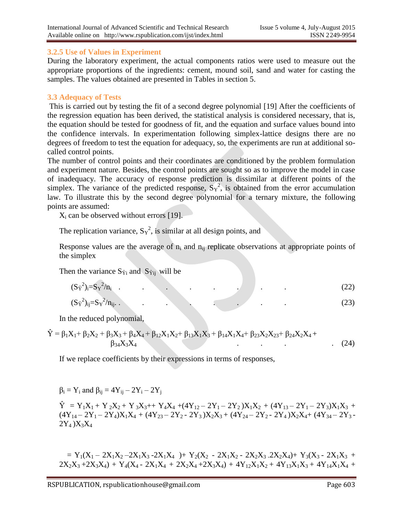## **3.2.5 Use of Values in Experiment**

During the laboratory experiment, the actual components ratios were used to measure out the appropriate proportions of the ingredients: cement, mound soil, sand and water for casting the samples. The values obtained are presented in Tables in section 5.

#### **3.3 Adequacy of Tests**

This is carried out by testing the fit of a second degree polynomial [19] After the coefficients of the regression equation has been derived, the statistical analysis is considered necessary, that is, the equation should be tested for goodness of fit, and the equation and surface values bound into the confidence intervals. In experimentation following simplex-lattice designs there are no degrees of freedom to test the equation for adequacy, so, the experiments are run at additional socalled control points.

The number of control points and their coordinates are conditioned by the problem formulation and experiment nature. Besides, the control points are sought so as to improve the model in case of inadequacy. The accuracy of response prediction is dissimilar at different points of the simplex. The variance of the predicted response,  $S_Y^2$ , is obtained from the error accumulation law. To illustrate this by the second degree polynomial for a ternary mixture, the following points are assumed:

 $X_i$  can be observed without errors [19].

The replication variance,  $S_Y^2$ , is similar at all design points, and

Response values are the average of  $n_i$  and  $n_{ii}$  replicate observations at appropriate points of the simplex

Then the variance  $S_{\hat{Y}i}$  and  $S_{\hat{Y}ii}$  will be

$$
(S\hat{Y}^2)_i = S\hat{Y}^2/n_i \tag{22}
$$

$$
(\mathbf{S}\hat{\mathbf{y}}^2)_{ij} = \mathbf{S}\mathbf{y}^2/\mathbf{n}_{ij}.\tag{23}
$$

In the reduced polynomial,

$$
\hat{Y} = \beta_1 X_1 + \beta_2 X_2 + \beta_3 X_3 + \beta_4 X_4 + \beta_{12} X_1 X_2 + \beta_{13} X_1 X_3 + \beta_{14} X_1 X_4 + \beta_{23} X_2 X_2 + \beta_{24} X_2 X_4 + \beta_{34} X_3 X_4
$$
\n(24)

If we replace coefficients by their expressions in terms of responses,

$$
\beta_i = Y_i \text{ and } \beta_{ij} = 4Y_{ij} - 2Y_i - 2Y_j
$$

 $\hat{Y} = Y_1X_1 + Y_2X_2 + Y_3X_3 + Y_4X_4 + (4Y_{12} - 2Y_1 - 2Y_2)X_1X_2 + (4Y_{13} - 2Y_1 - 2Y_3)X_1X_3 +$  $(4Y_{14} - 2Y_1 - 2Y_4)X_1X_4 + (4Y_{23} - 2Y_2 - 2Y_3)X_2X_3 + (4Y_{24} - 2Y_2 - 2Y_4)X_2X_4 + (4Y_{34} - 2Y_3 - 2Y_4)X_4X_5$  $2Y_4$  ) $X_3X_4$ 

 $= Y_1(X_1 - 2X_1X_2 - 2X_1X_3 - 2X_1X_4) + Y_2(X_2 - 2X_1X_2 - 2X_2X_3 - 2X_2X_4) + Y_3(X_3 - 2X_1X_3 +$  $2X_2X_3 + 2X_3X_4$  +  $Y_4(X_4 - 2X_1X_4 + 2X_2X_4 + 2X_3X_4) + 4Y_{12}X_1X_2 + 4Y_{13}X_1X_3 + 4Y_{14}X_1X_4 +$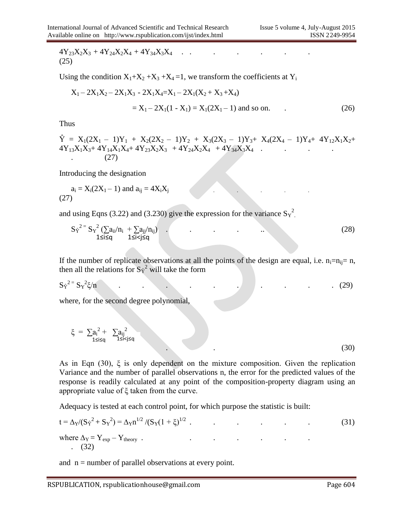$$
4Y_{23}X_2X_3 + 4Y_{24}X_2X_4 + 4Y_{34}X_3X_4 \t\t(25)
$$

Using the condition  $X_1+X_2+X_3+X_4=1$ , we transform the coefficients at  $Y_i$ 

$$
X_1 - 2X_1X_2 - 2X_1X_3 - 2X_1X_4 = X_1 - 2X_1(X_2 + X_3 + X_4)
$$
  
=  $X_1 - 2X_1(1 - X_1) = X_1(2X_1 - 1)$  and so on. (26)

Thus

$$
\hat{Y} = X_1(2X_1 - 1)Y_1 + X_2(2X_2 - 1)Y_2 + X_3(2X_3 - 1)Y_3 + X_4(2X_4 - 1)Y_4 + 4Y_{12}X_1X_2 + 4Y_{13}X_1X_3 + 4Y_{14}X_1X_4 + 4Y_{23}X_2X_3 + 4Y_{24}X_2X_4 + 4Y_{34}X_3X_4
$$
\n(27)

Introducing the designation

$$
a_i = X_i(2X_1 - 1)
$$
 and  $a_{ij} = 4X_iX_j$  (27)

and using Eqns (3.22) and (3.230) give the expression for the variance  $S_Y^2$ .

$$
S\hat{Y}^{2} = S_{Y}^{2} \left( \sum a_{ii}/n_{i} + \sum a_{jj}/n_{ij} \right) \tag{28}
$$

If the number of replicate observations at all the points of the design are equal, i.e.  $n_i=n_{ii}= n$ , then all the relations for  $S_{\hat{Y}}^2$  will take the form

$$
S\gamma^{2} = S\gamma^{2}\xi/n
$$
 (29)

where, for the second degree polynomial,

$$
\xi = \sum_{1 \le i \le q} a_i^2 + \sum_{1 \le i < j \le q} a_{ij}^2 \tag{30}
$$

As in Eqn (30), ξ is only dependent on the mixture composition. Given the replication Variance and the number of parallel observations n, the error for the predicted values of the response is readily calculated at any point of the composition-property diagram using an appropriate value of ξ taken from the curve.

Adequacy is tested at each control point, for which purpose the statistic is built:

$$
t = \Delta_Y / (S_Y^2 + S_Y^2) = \Delta_Y n^{1/2} / (S_Y (1 + \xi)^{1/2} .
$$
\nwhere  $\Delta_Y = Y_{exp} - Y_{theory} .$  (31)  
\n(32)

and  $n =$  number of parallel observations at every point.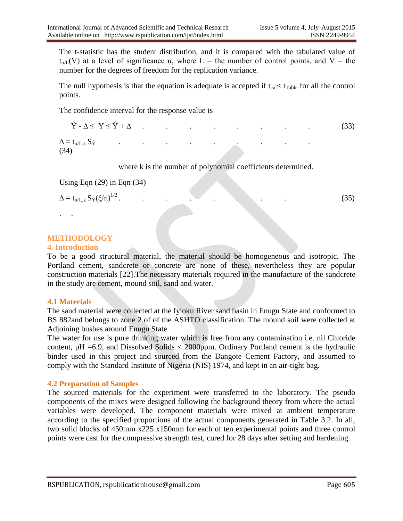The t-statistic has the student distribution, and it is compared with the tabulated value of  $t_{\alpha/L}(V)$  at a level of significance  $\alpha$ , where L = the number of control points, and V = the number for the degrees of freedom for the replication variance.

The null hypothesis is that the equation is adequate is accepted if  $t_{cal} < t_{Table}$  for all the control points.

The confidence interval for the response value is

| (34) |  |  |  |  |  |
|------|--|--|--|--|--|

where k is the number of polynomial coefficients determined.

Using Eqn (29) in Eqn (34)

$$
\Delta = t_{\alpha/L,k} \, S_Y(\xi/n)^{1/2} \, .
$$

. . . . . . . . (35)

## **METHODOLOGY**

#### **4. Introduction**

. .

To be a good structural material, the material should be homogeneous and isotropic. The Portland cement, sandcrete or concrete are none of these, nevertheless they are popular construction materials [22].The necessary materials required in the manufacture of the sandcrete in the study are cement, mound soil, sand and water.

#### **4.1 Materials**

The sand material were collected at the Iyioku River sand basin in Enugu State and conformed to BS 882and belongs to zone 2 of of the ASHTO classification. The mound soil were collected at Adjoining bushes around Enugu State.

The water for use is pure drinking water which is free from any contamination i.e. nil Chloride content,  $pH = 6.9$ , and Dissolved Solids  $\lt$  2000ppm. Ordinary Portland cement is the hydraulic binder used in this project and sourced from the Dangote Cement Factory, and assumed to comply with the Standard Institute of Nigeria (NIS) 1974, and kept in an air-tight bag.

#### **4.2 Preparation of Samples**

The sourced materials for the experiment were transferred to the laboratory. The pseudo components of the mixes were designed following the background theory from where the actual variables were developed. The component materials were mixed at ambient temperature according to the specified proportions of the actual components generated in Table 3.2. In all, two solid blocks of 450mm x225 x150mm for each of ten experimental points and three control points were cast for the compressive strength test, cured for 28 days after setting and hardening.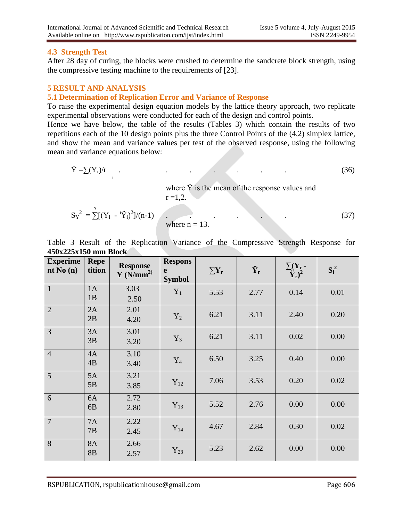## **4.3 Strength Test**

After 28 day of curing, the blocks were crushed to determine the sandcrete block strength, using the compressive testing machine to the requirements of [23].

## **5 RESULT AND ANALYSIS**

## **5.1 Determination of Replication Error and Variance of Response**

To raise the experimental design equation models by the lattice theory approach, two replicate experimental observations were conducted for each of the design and control points.

Hence we have below, the table of the results (Tables 3) which contain the results of two repetitions each of the 10 design points plus the three Control Points of the (4,2) simplex lattice, and show the mean and variance values per test of the observed response, using the following mean and variance equations below:

$$
\ddot{Y} = \sum (Y_r)/r \tag{36}
$$

where  $\ddot{Y}$  is the mean of the response values and  $r = 1,2.$ 

$$
S_Y^2 = \sum_{i=1}^{n} [(Y_i - {^{i} \ddot{Y}_i})^2]/(n-1)
$$
 where  $n = 13$ . (37)

Table 3 Result of the Replication Variance of the Compressive Strength Response for **450x225x150 mm Block**

| <b>Experime</b><br>nt No $(n)$ | <b>Repe</b><br>tition       | <b>Response</b><br>Y(N/mm <sup>2</sup> ) | <b>Respons</b><br>e<br><b>Symbol</b> | $\sum Y_{r}$ | $\ddot{\mathbf{Y}}_{\mathbf{r}}$ | $\frac{\sum(\mathbf{Y}_r - \mathbf{Y}_r)^2}{\mathbf{Y}_r}$ | $S_i^2$ |
|--------------------------------|-----------------------------|------------------------------------------|--------------------------------------|--------------|----------------------------------|------------------------------------------------------------|---------|
| $\mathbf{1}$                   | 1A<br>1B                    | 3.03<br>2.50                             | $Y_1$                                | 5.53         | 2.77                             | 0.14                                                       | 0.01    |
| $\overline{2}$                 | 2A<br>2B                    | 2.01<br>4.20                             | $Y_2$                                | 6.21         | 3.11                             | 2.40                                                       | 0.20    |
| 3                              | 3A<br>3B                    | 3.01<br>3.20                             | $Y_3$                                | 6.21         | 3.11                             | 0.02                                                       | 0.00    |
| $\overline{4}$                 | 4A<br>4B                    | 3.10<br>3.40                             | $Y_4$                                | 6.50         | 3.25                             | 0.40                                                       | 0.00    |
| 5                              | 5A<br>5B                    | 3.21<br>3.85                             | $Y_{12}$                             | 7.06         | 3.53                             | 0.20                                                       | 0.02    |
| 6                              | 6A<br>6 <sub>B</sub>        | 2.72<br>2.80                             | $Y_{13}$                             | 5.52         | 2.76                             | 0.00                                                       | 0.00    |
| $\overline{7}$                 | <b>7A</b><br>7B             | 2.22<br>2.45                             | $Y_{14}$                             | 4.67         | 2.84                             | 0.30                                                       | 0.02    |
| 8                              | <b>8A</b><br>8 <sub>B</sub> | 2.66<br>2.57                             | $Y_{23}$                             | 5.23         | 2.62                             | 0.00                                                       | 0.00    |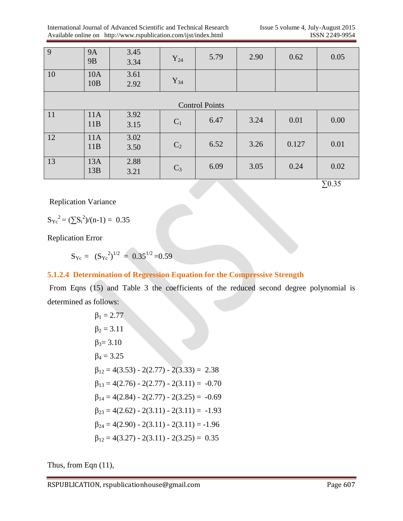| $\overline{9}$        | <b>9A</b><br><b>9B</b> | 3.45<br>3.34 | $Y_{24}$       | 5.79 | 2.90 | 0.62  | 0.05        |  |  |  |  |  |
|-----------------------|------------------------|--------------|----------------|------|------|-------|-------------|--|--|--|--|--|
| $\vert$ 10            | 10A<br>10B             | 3.61<br>2.92 | $Y_{34}$       |      |      |       |             |  |  |  |  |  |
| <b>Control Points</b> |                        |              |                |      |      |       |             |  |  |  |  |  |
| 11                    | 11A<br>11B             | 3.92<br>3.15 | $C_1$          | 6.47 | 3.24 | 0.01  | 0.00        |  |  |  |  |  |
| <sup>12</sup>         | 11A<br>11B             | 3.02<br>3.50 | C <sub>2</sub> | 6.52 | 3.26 | 0.127 | 0.01        |  |  |  |  |  |
| 13                    | 13A<br>13B             | 2.88<br>3.21 | $C_3$          | 6.09 | 3.05 | 0.24  | 0.02<br>___ |  |  |  |  |  |

∑0.35

Replication Variance

$$
{S_{Yc}}^2 = (\sum {S_i}^2)/(n-1) = 0.35
$$

Replication Error

 $S_{\text{Yc}} = (S_{\text{Yc}}^2)^{1/2} = 0.35^{1/2} = 0.59$ 

## **5.1.2.4 Determination of Regression Equation for the Compressive Strength**

From Eqns (15) and Table 3 the coefficients of the reduced second degree polynomial is determined as follows:

$$
\beta_1 = 2.77
$$
  
\n
$$
\beta_2 = 3.11
$$
  
\n
$$
\beta_3 = 3.10
$$
  
\n
$$
\beta_4 = 3.25
$$
  
\n
$$
\beta_{12} = 4(3.53) - 2(2.77) - 2(3.33) = 2.38
$$
  
\n
$$
\beta_{13} = 4(2.76) - 2(2.77) - 2(3.11) = -0.70
$$
  
\n
$$
\beta_{14} = 4(2.84) - 2(2.77) - 2(3.25) = -0.69
$$
  
\n
$$
\beta_{23} = 4(2.62) - 2(3.11) - 2(3.11) = -1.93
$$
  
\n
$$
\beta_{24} = 4(2.90) - 2(3.11) - 2(3.11) = -1.96
$$
  
\n
$$
\beta_{12} = 4(3.27) - 2(3.11) - 2(3.25) = 0.35
$$

Thus, from Eqn (11),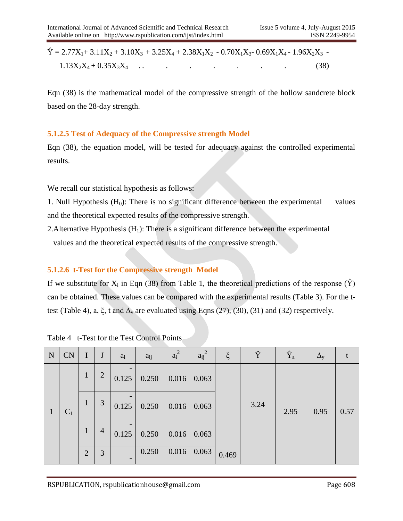$\hat{Y} = 2.77X_1 + 3.11X_2 + 3.10X_3 + 3.25X_4 + 2.38X_1X_2 - 0.70X_1X_3 - 0.69X_1X_4 - 1.96X_2X_3$  $1.13X_2X_4 + 0.35X_3X_4$  . . . . . . . . . . . . . . (38)

Eqn (38) is the mathematical model of the compressive strength of the hollow sandcrete block based on the 28-day strength.

## **5.1.2.5 Test of Adequacy of the Compressive strength Model**

Eqn (38), the equation model, will be tested for adequacy against the controlled experimental results.

We recall our statistical hypothesis as follows:

1. Null Hypothesis  $(H_0)$ : There is no significant difference between the experimental values and the theoretical expected results of the compressive strength.

2. Alternative Hypothesis  $(H_1)$ : There is a significant difference between the experimental values and the theoretical expected results of the compressive strength.

## **5.1.2.6 t-Test for the Compressive strength Model**

If we substitute for  $X_i$  in Eqn (38) from Table 1, the theoretical predictions of the response ( $\hat{Y}$ ) can be obtained. These values can be compared with the experimental results (Table 3). For the ttest (Table 4), a,  $\xi$ , t and  $\Delta_{\rm v}$  are evaluated using Eqns (27), (30), (31) and (32) respectively.

| N | <b>CN</b> | $\mathbf I$    | $\mathbf{J}$   | $a_i$                    | $a_{ij}$ | $a_i^2$ | $a_{ij}^2$ | $\xi$ | Ÿ    | $\rm \hat{Y}_a$ | $\Delta_{\rm V}$ |      |  |
|---|-----------|----------------|----------------|--------------------------|----------|---------|------------|-------|------|-----------------|------------------|------|--|
|   |           | $\mathbf{1}$   | $\overline{2}$ | 0.125                    | 0.250    | 0.016   | 0.063      |       |      |                 |                  |      |  |
|   | $C_1$     | $\mathbf{1}$   | 3              | 0.125                    | 0.250    | 0.016   | 0.063      |       | 3.24 | 2.95            | 0.95             | 0.57 |  |
|   |           | $\mathbf{1}$   | $\overline{4}$ | 0.125                    | 0.250    | 0.016   | 0.063      |       |      |                 |                  |      |  |
|   |           | $\overline{2}$ | 3              | $\overline{\phantom{0}}$ | 0.250    | 0.016   | 0.063      | 0.469 |      |                 |                  |      |  |

Table 4 t-Test for the Test Control Points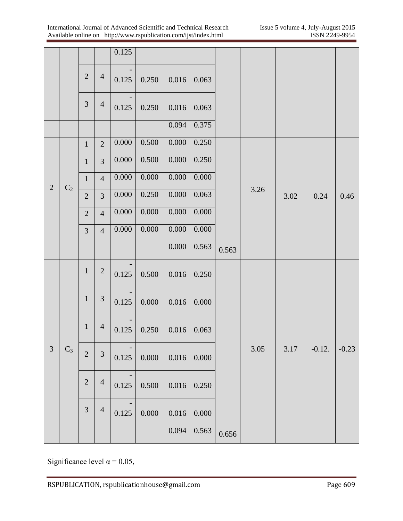|                |                |                |                             | 0.125     |           |           |       |       |      |      |          |         |
|----------------|----------------|----------------|-----------------------------|-----------|-----------|-----------|-------|-------|------|------|----------|---------|
|                |                | $\overline{2}$ | $\overline{4}$              | 0.125     | 0.250     | 0.016     | 0.063 |       |      |      |          |         |
|                |                | $\mathfrak{Z}$ | $\overline{4}$              | 0.125     | 0.250     | $0.016\,$ | 0.063 |       |      |      |          |         |
|                |                |                |                             |           |           | 0.094     | 0.375 |       |      |      |          |         |
|                |                | $1\,$          | $\overline{2}$              | 0.000     | 0.500     | 0.000     | 0.250 |       |      |      |          | 0.46    |
|                |                | $\mathbf 1$    | $\overline{3}$              | 0.000     | 0.500     | $0.000\,$ | 0.250 |       |      | 3.02 |          |         |
| $\sqrt{2}$     |                | $\mathbf{1}$   | $\overline{4}$              | $0.000\,$ | 0.000     | $0.000\,$ | 0.000 |       |      |      | 0.24     |         |
|                | $\mathbf{C}_2$ | $\overline{2}$ | 3                           | $0.000\,$ | 0.250     | 0.000     | 0.063 |       | 3.26 |      |          |         |
|                |                | $\mathbf{2}$   | $\overline{4}$              | 0.000     | 0.000     | 0.000     | 0.000 |       |      |      |          |         |
|                |                | $\overline{3}$ | $\overline{4}$              | $0.000\,$ | 0.000     | 0.000     | 0.000 |       |      |      |          |         |
|                |                |                |                             |           |           | $0.000\,$ | 0.563 | 0.563 |      |      |          |         |
|                |                | $\mathbf{1}$   | $\sqrt{2}$                  | 0.125     | 0.500     | $0.016\,$ | 0.250 |       |      |      |          |         |
|                |                | $\mathbf{1}$   | $\ensuremath{\mathfrak{Z}}$ | 0.125     | 0.000     | $0.016\,$ | 0.000 |       |      |      |          |         |
|                |                | $\mathbf{1}$   | $\overline{4}$              | 0.125     | 0.250     | 0.016     | 0.063 |       |      |      |          |         |
| $\mathfrak{Z}$ | $C_3$          | $\overline{2}$ | 3                           | 0.125     | 0.000     | $0.016\,$ | 0.000 |       | 3.05 | 3.17 | $-0.12.$ | $-0.23$ |
|                |                | $\sqrt{2}$     | $\overline{4}$              | 0.125     | 0.500     | $0.016\,$ | 0.250 |       |      |      |          |         |
|                |                | $\mathfrak{Z}$ | $\overline{4}$              | 0.125     | $0.000\,$ | 0.016     | 0.000 |       |      |      |          |         |
|                |                |                |                             |           |           | 0.094     | 0.563 | 0.656 |      |      |          |         |

Significance level  $\alpha$  = 0.05,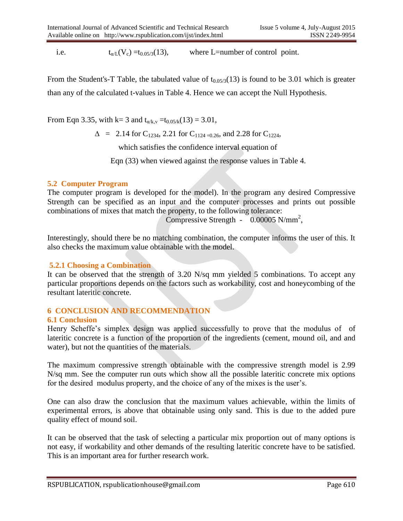i.e.  $t_{\alpha/L}(V_c) = t_{0.05/3}(13)$ , where L=number of control point.

From the Student's-T Table, the tabulated value of  $t_{0.05/3}(13)$  is found to be 3.01 which is greater than any of the calculated t-values in Table 4. Hence we can accept the Null Hypothesis.

From Eqn 3.35, with k= 3 and  $t_{\alpha/k,v} = t_{0.05/k}(13) = 3.01$ ,

 $\Delta$  = 2.14 for C<sub>1234</sub>, 2.21 for C<sub>1124 =0.26</sub>, and 2.28 for C<sub>1224</sub>,

which satisfies the confidence interval equation of

Eqn (33) when viewed against the response values in Table 4.

## **5.2 Computer Program**

The computer program is developed for the model). In the program any desired Compressive Strength can be specified as an input and the computer processes and prints out possible combinations of mixes that match the property, to the following tolerance:

Compressive Strength - 0.00005 N/mm<sup>2</sup>,

Interestingly, should there be no matching combination, the computer informs the user of this. It also checks the maximum value obtainable with the model.

#### **5.2.1 Choosing a Combination**

It can be observed that the strength of 3.20 N/sq mm yielded 5 combinations. To accept any particular proportions depends on the factors such as workability, cost and honeycombing of the resultant lateritic concrete.

## **6 CONCLUSION AND RECOMMENDATION**

#### **6.1 Conclusion**

Henry Scheffe's simplex design was applied successfully to prove that the modulus of of lateritic concrete is a function of the proportion of the ingredients (cement, mound oil, and and water), but not the quantities of the materials.

The maximum compressive strength obtainable with the compressive strength model is 2.99 N/sq mm. See the computer run outs which show all the possible lateritic concrete mix options for the desired modulus property, and the choice of any of the mixes is the user's.

One can also draw the conclusion that the maximum values achievable, within the limits of experimental errors, is above that obtainable using only sand. This is due to the added pure quality effect of mound soil.

It can be observed that the task of selecting a particular mix proportion out of many options is not easy, if workability and other demands of the resulting lateritic concrete have to be satisfied. This is an important area for further research work.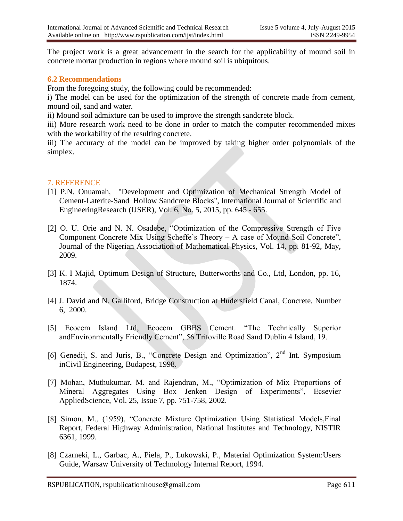The project work is a great advancement in the search for the applicability of mound soil in concrete mortar production in regions where mound soil is ubiquitous.

#### **6.2 Recommendations**

From the foregoing study, the following could be recommended:

i) The model can be used for the optimization of the strength of concrete made from cement, mound oil, sand and water.

ii) Mound soil admixture can be used to improve the strength sandcrete block.

iii) More research work need to be done in order to match the computer recommended mixes with the workability of the resulting concrete.

iii) The accuracy of the model can be improved by taking higher order polynomials of the simplex.

## 7. REFERENCE

- [1] P.N. Onuamah, "Development and Optimization of Mechanical Strength Model of Cement-Laterite-Sand Hollow Sandcrete Blocks", International Journal of Scientific and EngineeringResearch (IJSER), Vol. 6, No. 5, 2015, pp. 645 - 655.
- [2] O. U. Orie and N. N. Osadebe, "Optimization of the Compressive Strength of Five Component Concrete Mix Using Scheffe's Theory – A case of Mound Soil Concrete", Journal of the Nigerian Association of Mathematical Physics, Vol. 14, pp. 81-92, May, 2009.
- [3] K. I Majid, Optimum Design of Structure, Butterworths and Co., Ltd, London, pp. 16, 1874.
- [4] J. David and N. Galliford, Bridge Construction at Hudersfield Canal, Concrete, Number 6, 2000.
- [5] Ecocem Island Ltd, Ecocem GBBS Cement. "The Technically Superior andEnvironmentally Friendly Cement", 56 Tritoville Road Sand Dublin 4 Island, 19.
- [6] Genedij, S. and Juris, B., "Concrete Design and Optimization", 2<sup>nd</sup> Int. Symposium inCivil Engineering, Budapest, 1998.
- [7] Mohan, Muthukumar, M. and Rajendran, M., "Optimization of Mix Proportions of Mineral Aggregates Using Box Jenken Design of Experiments", Ecsevier AppliedScience, Vol. 25, Issue 7, pp. 751-758, 2002.
- [8] Simon, M., (1959), "Concrete Mixture Optimization Using Statistical Models,Final Report, Federal Highway Administration, National Institutes and Technology, NISTIR 6361, 1999.
- [8] Czarneki, L., Garbac, A., Piela, P., Lukowski, P., Material Optimization System:Users Guide, Warsaw University of Technology Internal Report, 1994.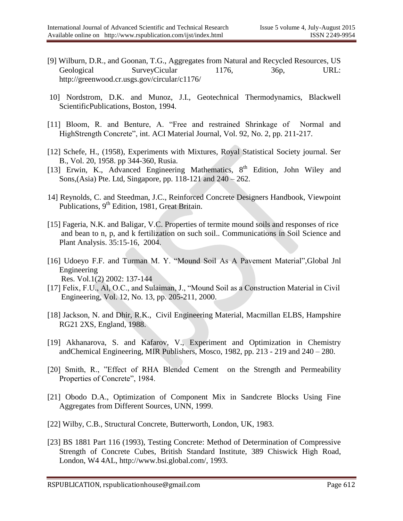- [9] Wilburn, D.R., and Goonan, T.G., Aggregates from Natural and Recycled Resources, US Geological SurveyCicular 1176, 36p, URL: http://greenwood.cr.usgs.gov/circular/c1176/
- 10] Nordstrom, D.K. and Munoz, J.I., Geotechnical Thermodynamics, Blackwell ScientificPublications, Boston, 1994.
- [11] Bloom, R. and Benture, A. "Free and restrained Shrinkage of Normal and HighStrength Concrete", int. ACI Material Journal, Vol. 92, No. 2, pp. 211-217.
- [12] Schefe, H., (1958), Experiments with Mixtures, Royal Statistical Society journal. Ser B., Vol. 20, 1958. pp 344-360, Rusia.
- [13] Erwin, K., Advanced Engineering Mathematics, 8<sup>th</sup> Edition, John Wiley and Sons,(Asia) Pte. Ltd, Singapore, pp. 118-121 and 240 – 262.
- 14] Reynolds, C. and Steedman, J.C., Reinforced Concrete Designers Handbook, Viewpoint Publications,  $9<sup>th</sup>$  Edition, 1981, Great Britain.
- [15] Fageria, N.K. and Baligar, V.C. Properties of termite mound soils and responses of rice and bean to n, p, and k fertilization on such soil.. Communications in Soil Science and Plant Analysis. 35:15-16, 2004.
- [16] Udoeyo F.F. and Turman M. Y. "Mound Soil As A Pavement Material", Global Jnl Engineering Res. Vol.1(2) 2002: 137-144
- [17] Felix, F.U., Al, O.C., and Sulaiman, J., "Mound Soil as a Construction Material in Civil Engineering, Vol. 12, No. 13, pp. 205-211, 2000.
- [18] Jackson, N. and Dhir, R.K., Civil Engineering Material, Macmillan ELBS, Hampshire RG21 2XS, England, 1988.
- [19] Akhanarova, S. and Kafarov, V., Experiment and Optimization in Chemistry andChemical Engineering, MIR Publishers, Mosco, 1982, pp. 213 - 219 and 240 – 280.
- [20] Smith, R., "Effect of RHA Blended Cement on the Strength and Permeability Properties of Concrete", 1984.
- [21] Obodo D.A., Optimization of Component Mix in Sandcrete Blocks Using Fine Aggregates from Different Sources, UNN, 1999.
- [22] Wilby, C.B., Structural Concrete, Butterworth, London, UK, 1983.
- [23] BS 1881 Part 116 (1993), Testing Concrete: Method of Determination of Compressive Strength of Concrete Cubes, British Standard Institute, 389 Chiswick High Road, London, W4 4AL, http://www.bsi.global.com/, 1993.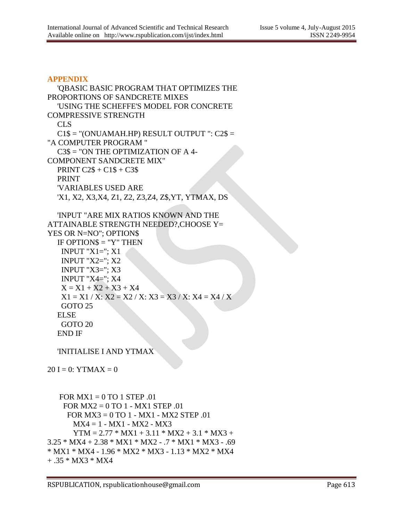#### **APPENDIX**

```
 'QBASIC BASIC PROGRAM THAT OPTIMIZES THE 
PROPORTIONS OF SANDCRETE MIXES
   'USING THE SCHEFFE'S MODEL FOR CONCRETE 
COMPRESSIVE STRENGTH
   CLS
  C1\ = "(ONUAMAH.HP) RESULT OUTPUT ": C2\ =
"A COMPUTER PROGRAM "
   C3$ = "ON THE OPTIMIZATION OF A 4-
COMPONENT SANDCRETE MIX"
   PRINT C2$ + C1$ + C3$
   PRINT
   'VARIABLES USED ARE
   'X1, X2, X3,X4, Z1, Z2, Z3,Z4, Z$,YT, YTMAX, DS
   'INPUT "ARE MIX RATIOS KNOWN AND THE 
ATTAINABLE STRENGTH NEEDED?,CHOOSE Y= 
YES OR N=NO"; OPTION$
   IF OPTION$ = "Y" THEN
   INPUT "X1 ="; X1 INPUT "X2="; X2
    INPUT "X3="; X3
    INPUT "X4="; X4
   X = X1 + X2 + X3 + X4X1 = X1 / X: X2 = X2 / X: X3 = X3 / X: X4 = X4 / X GOTO 25
   ELSE
    GOTO 20
   END IF
   'INITIALISE I AND YTMAX
20 I = 0: YTMAX = 0
```

```
FOR MX1 = 0 TO 1 STEP .01
     FOR MX2 = 0 TO 1 - MX1 STEP .01
      FOR MX3 = 0 TO 1 - MX1 - MX2 STEP .01
      MX4 = 1 - MX1 - MX2 - MX3YTM = 2.77 * MX1 + 3.11 * MX2 + 3.1 * MX3 +3.25 * MX4 + 2.38 * MX1 * MX2 - .7 * MX1 * MX3 - .69 
* MX1 * MX4 - 1.96 * MX2 * MX3 - 1.13 * MX2 * MX4 
+ .35 * MX3 * MX4
```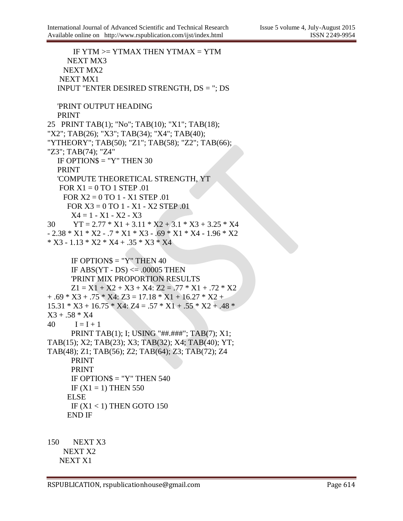```
IF YTM >= YTMAX THEN YTMAX = YTM
      NEXT MX3
     NEXT MX2
    NEXT MX1
   INPUT "ENTER DESIRED STRENGTH, DS = "; DS
   'PRINT OUTPUT HEADING
   PRINT
25 PRINT TAB(1); "No"; TAB(10); "X1"; TAB(18); 
"X2"; TAB(26); "X3"; TAB(34); "X4"; TAB(40); 
"YTHEORY"; TAB(50); "Z1"; TAB(58); "Z2"; TAB(66); 
"Z3"; TAB(74); "Z4"
  IF OPTION$ = "Y" THEN 30
   PRINT
   'COMPUTE THEORETICAL STRENGTH, YT
   FOR X1 = 0 TO 1 STEP .01
     FOR X2 = 0 TO 1 - X1 STEP .01
      FOR X3 = 0 TO 1 - X1 - X2 STEP .01
      X4 = 1 - X1 - X2 - X330 YT = 2.77 * X1 + 3.11 * X2 + 3.1 * X3 + 3.25 * X4- 2.38 * X1 * X2 - 7 * X1 * X3 - 69 * X1 * X4 - 1.96 * X2* X3 - 1.13 * X2 * X4 + .35 * X3 * X4
      IF OPTION$ = "Y" THEN 40
      IF ABS(YT - DS) \leq 00005 THEN
       'PRINT MIX PROPORTION RESULTS
      Z1 = X1 + X2 + X3 + X4: Z2 = 0.77 * X1 + 0.72 * X2+ .69 * X3 + .75 * X4: Z3 = 17.18 * X1 + 16.27 * X2 +15.31 * X3 + 16.75 * X4: Z4 = .57 * X1 + .55 * X2 + .48 *X3 + .58 * X440 I = I + 1 PRINT TAB(1); I; USING "##.###"; TAB(7); X1; 
TAB(15); X2; TAB(23); X3; TAB(32); X4; TAB(40); YT; 
TAB(48); Z1; TAB(56); Z2; TAB(64); Z3; TAB(72); Z4
       PRINT
       PRINT
      IF OPTION$ = "Y" THEN 540
      IF (X1 = 1) THEN 550
      ELSE
      IF (X1 < 1) THEN GOTO 150
      END IF
150 NEXT X3
     NEXT X2
```
NEXT X1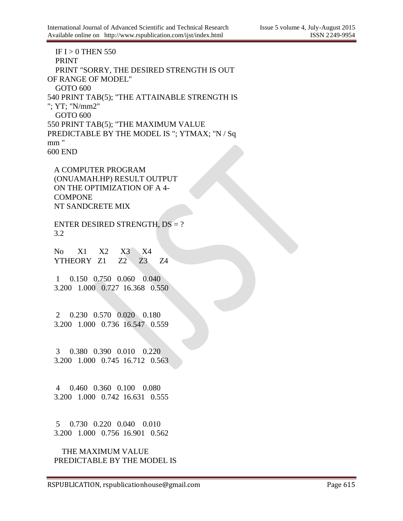IF I  $> 0$  THEN 550 PRINT PRINT "SORRY, THE DESIRED STRENGTH IS OUT OF RANGE OF MODEL" GOTO 600 540 PRINT TAB(5); "THE ATTAINABLE STRENGTH IS "; YT; "N/mm2" GOTO 600 550 PRINT TAB(5); "THE MAXIMUM VALUE PREDICTABLE BY THE MODEL IS "; YTMAX; "N / Sq mm " 600 END

A COMPUTER PROGRAM (ONUAMAH.HP) RESULT OUTPUT ON THE OPTIMIZATION OF A 4- **COMPONE** NT SANDCRETE MIX

ENTER DESIRED STRENGTH, DS = ? 3.2

No X1 X2 X3 X4 YTHEORY Z1 Z2 Z3 Z4

1 0.150 0.750 0.060 0.040 3.200 1.000 0.727 16.368 0.550

2 0.230 0.570 0.020 0.180 3.200 1.000 0.736 16.547 0.559

3 0.380 0.390 0.010 0.220 3.200 1.000 0.745 16.712 0.563

4 0.460 0.360 0.100 0.080 3.200 1.000 0.742 16.631 0.555

5 0.730 0.220 0.040 0.010 3.200 1.000 0.756 16.901 0.562

 THE MAXIMUM VALUE PREDICTABLE BY THE MODEL IS